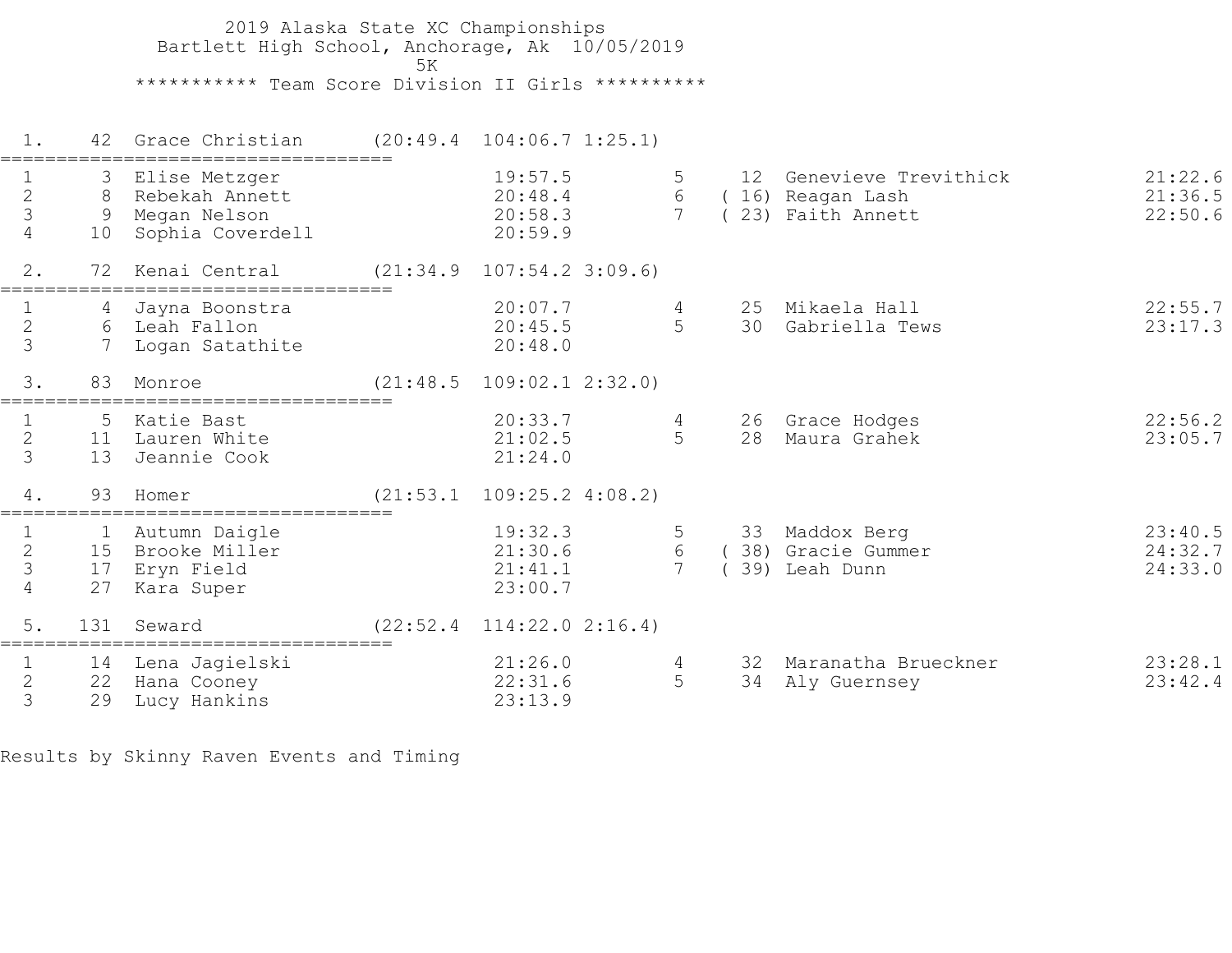2019 Alaska State XC Championships Bartlett High School, Anchorage, Ak 10/05/2019  $5K$  \*\*\*\*\*\*\*\*\*\*\* Team Score Division II Girls \*\*\*\*\*\*\*\*\*\* 1. 42 Grace Christian (20:49.4 104:06.7 1:25.1) =================================== 1 3 Elise Metzger 19:57.5 5 12 Genevieve Trevithick 21:22.6 2 8 Rebekah Annett 20:48.4 6 ( 16) Reagan Lash 21:36.5 3 9 Megan Nelson 20:58.3 7 ( 23) Faith Annett 22:50.6 4 10 Sophia Coverdell 20:59.9 2. 72 Kenai Central (21:34.9 107:54.2 3:09.6) =================================== 1 4 Jayna Boonstra 20:07.7 4 25 Mikaela Hall 22:55.7 2 6 Leah Fallon 20:45.5 5 30 Gabriella Tews 23:17.3 3 7 Logan Satathite 20:48.0 3. 83 Monroe (21:48.5 109:02.1 2:32.0) =================================== 1 5 Katie Bast 20:33.7 4 26 Grace Hodges 22:56.2 2 11 Lauren White 21:02.5 5 28 Maura Grahek 23:05.7 3 13 Jeannie Cook 21:24.0 4. 93 Homer (21:53.1 109:25.2 4:08.2) =================================== 1 1 Autumn Daigle 19:32.3 5 33 Maddox Berg 23:40.5 2 15 Brooke Miller 21:30.6 6 ( 38) Gracie Gummer 24:32.7 3 17 Eryn Field 21:41.1 7 ( 39) Leah Dunn 24:33.0 4 27 Kara Super 23:00.7 5. 131 Seward (22:52.4 114:22.0 2:16.4) =================================== 1 14 Lena Jagielski 21:26.0 4 32 Maranatha Brueckner 23:28.1 2 22 Hana Cooney 22:31.6 5 34 Aly Guernsey 23:42.4 3 29 Lucy Hankins 23:13.9

Results by Skinny Raven Events and Timing